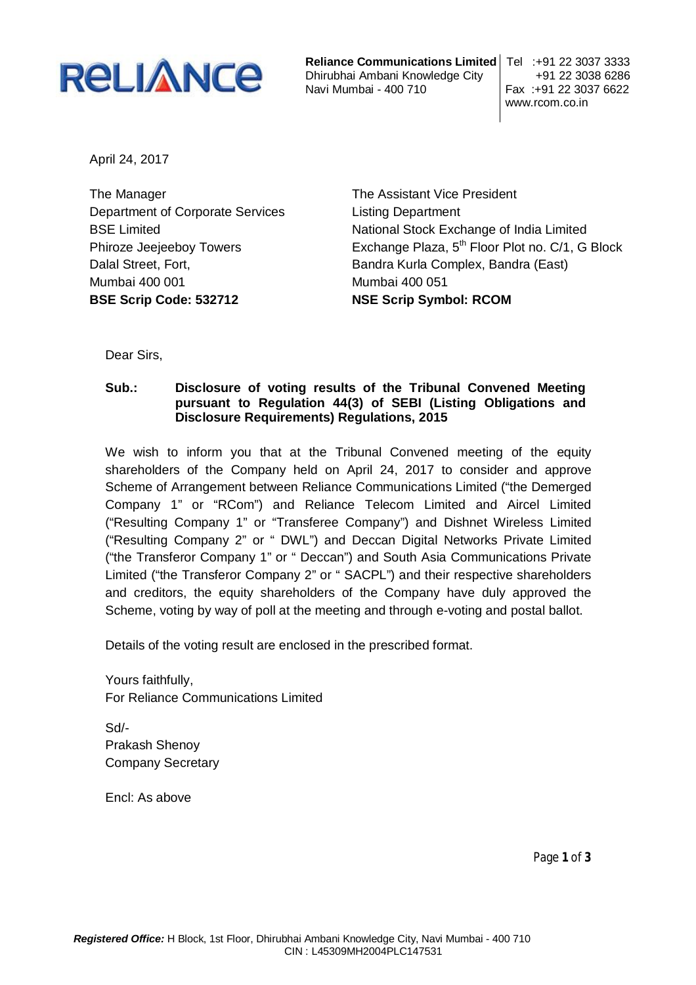

**Reliance Communications Limited** Tel :+91 22 3037 3333 Dhirubhai Ambani Knowledge City +91 22 3038 6286 Navi Mumbai - 400 710

www.rcom.co.in

April 24, 2017

The Manager Department of Corporate Services BSE Limited Phiroze Jeejeeboy Towers Dalal Street, Fort, Mumbai 400 001 **BSE Scrip Code: 532712**

The Assistant Vice President Listing Department National Stock Exchange of India Limited Exchange Plaza, 5<sup>th</sup> Floor Plot no. C/1, G Block Bandra Kurla Complex, Bandra (East) Mumbai 400 051 **NSE Scrip Symbol: RCOM**

Dear Sirs,

## **Sub.: Disclosure of voting results of the Tribunal Convened Meeting pursuant to Regulation 44(3) of SEBI (Listing Obligations and Disclosure Requirements) Regulations, 2015**

We wish to inform you that at the Tribunal Convened meeting of the equity shareholders of the Company held on April 24, 2017 to consider and approve Scheme of Arrangement between Reliance Communications Limited ("the Demerged Company 1" or "RCom") and Reliance Telecom Limited and Aircel Limited ("Resulting Company 1" or "Transferee Company") and Dishnet Wireless Limited ("Resulting Company 2" or " DWL") and Deccan Digital Networks Private Limited ("the Transferor Company 1" or " Deccan") and South Asia Communications Private Limited ("the Transferor Company 2" or " SACPL") and their respective shareholders and creditors, the equity shareholders of the Company have duly approved the Scheme, voting by way of poll at the meeting and through e-voting and postal ballot.

Details of the voting result are enclosed in the prescribed format.

Yours faithfully, For Reliance Communications Limited

Sd/- Prakash Shenoy Company Secretary

Encl: As above

Page **1** of **3**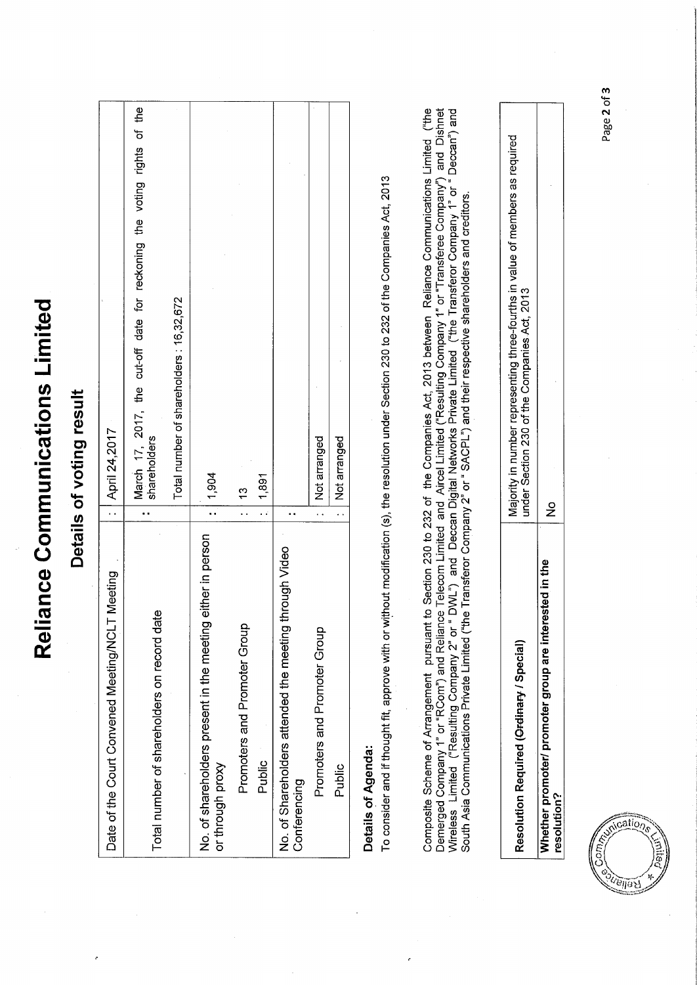|                                                                                                                                                          | Details of voting result                                                                                                                                                                                                                                                                                                                                                                                                                                                                                                                                                              |
|----------------------------------------------------------------------------------------------------------------------------------------------------------|---------------------------------------------------------------------------------------------------------------------------------------------------------------------------------------------------------------------------------------------------------------------------------------------------------------------------------------------------------------------------------------------------------------------------------------------------------------------------------------------------------------------------------------------------------------------------------------|
| Meeting<br>Date of the Court Convened Meeting/NCLT                                                                                                       | April 24,2017<br>$\ddot{\phantom{1}}$ .                                                                                                                                                                                                                                                                                                                                                                                                                                                                                                                                               |
| Total number of shareholders on record date                                                                                                              | the<br>٦,<br>rights<br>the voting<br>for reckoning<br>the cut-off date<br>March 17, 2017,<br>shareholders<br>.,                                                                                                                                                                                                                                                                                                                                                                                                                                                                       |
|                                                                                                                                                          | Total number of shareholders: 16,32,672                                                                                                                                                                                                                                                                                                                                                                                                                                                                                                                                               |
| No. of shareholders present in the meeting either in person<br>or through proxy                                                                          | 1,904                                                                                                                                                                                                                                                                                                                                                                                                                                                                                                                                                                                 |
| Promoters and Promoter Group                                                                                                                             | ζ,                                                                                                                                                                                                                                                                                                                                                                                                                                                                                                                                                                                    |
| Public                                                                                                                                                   | 1,891<br>έś                                                                                                                                                                                                                                                                                                                                                                                                                                                                                                                                                                           |
| No. of Shareholders attended the meeting through Video<br>Conferencing                                                                                   |                                                                                                                                                                                                                                                                                                                                                                                                                                                                                                                                                                                       |
| Promoters and Promoter Group                                                                                                                             | Not arranged                                                                                                                                                                                                                                                                                                                                                                                                                                                                                                                                                                          |
| Public                                                                                                                                                   | Not arranged                                                                                                                                                                                                                                                                                                                                                                                                                                                                                                                                                                          |
| South Asia Communications Private Limited ("the Transferor Company 2" or "SACPL") and their respective shareholders and creditors.<br>Details of Agenda: | Composite Scheme of Arrangement pursuant to Section 230 to 232 of the Companies Act, 2013 between Reliance Communications Limited ("the<br>Demerged Company 1" or "RCom") and Reliance Telecom Limited and Aircel Limited ("Resulting Company 1" or "Transferee Company") and Dishnet<br>Wireless Limited ("Resulting Company 2" or " DWL") and Deccan Digital Networks Private Limited ("the Transferor Company 1" or " Deccan") and<br>To consider and if thought fit, approve with or without modification (s), the resolution under Section 230 to 232 of the Companies Act, 2013 |
| Resolution Required (Ordinary / Special)                                                                                                                 | Majority in number representing three-fourths in value of members as required<br>under Section 230 of the Companies Act, 2013                                                                                                                                                                                                                                                                                                                                                                                                                                                         |
| Whether promoter/ promoter group are interested in the<br>resolution?                                                                                    | $\frac{1}{2}$                                                                                                                                                                                                                                                                                                                                                                                                                                                                                                                                                                         |
| IS SUMICE                                                                                                                                                | Page 2 of 3                                                                                                                                                                                                                                                                                                                                                                                                                                                                                                                                                                           |

Reliance Communications Limited

 $\frac{1}{\text{MIO}_{\mathcal{D}_\mathcal{S}}}$ Conding